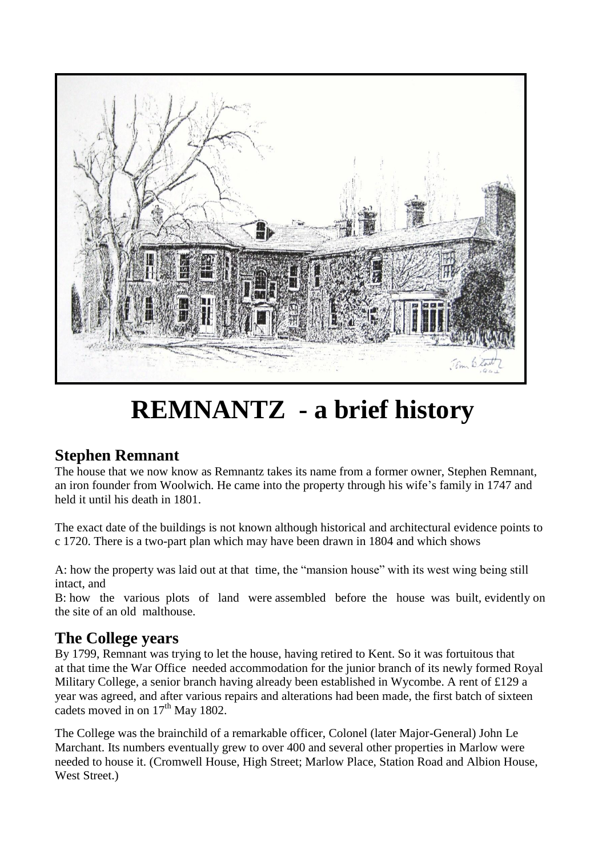

# **REMNANTZ - a brief history**

## **Stephen Remnant**

The house that we now know as Remnantz takes its name from a former owner, Stephen Remnant, an iron founder from Woolwich. He came into the property through his wife's family in 1747 and held it until his death in 1801.

The exact date of the buildings is not known although historical and architectural evidence points to c 1720. There is a two-part plan which may have been drawn in 1804 and which shows

A: how the property was laid out at that time, the "mansion house" with its west wing being still intact, and

B: how the various plots of land were assembled before the house was built, evidently on the site of an old malthouse.

### **The College years**

By 1799, Remnant was trying to let the house, having retired to Kent. So it was fortuitous that at that time the War Office needed accommodation for the junior branch of its newly formed Royal Military College, a senior branch having already been established in Wycombe. A rent of £129 a year was agreed, and after various repairs and alterations had been made, the first batch of sixteen cadets moved in on  $17<sup>th</sup>$  May 1802.

The College was the brainchild of a remarkable officer, Colonel (later Major-General) John Le Marchant. Its numbers eventually grew to over 400 and several other properties in Marlow were needed to house it. (Cromwell House, High Street; Marlow Place, Station Road and Albion House, West Street.)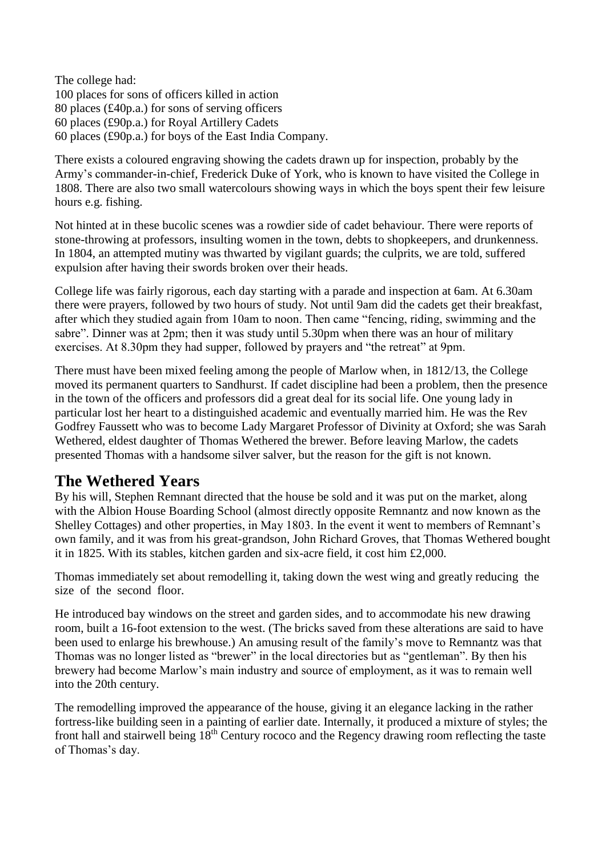The college had: 100 places for sons of officers killed in action 80 places (£40p.a.) for sons of serving officers 60 places (£90p.a.) for Royal Artillery Cadets 60 places (£90p.a.) for boys of the East India Company.

There exists a coloured engraving showing the cadets drawn up for inspection, probably by the Army's commander-in-chief, Frederick Duke of York, who is known to have visited the College in 1808. There are also two small watercolours showing ways in which the boys spent their few leisure hours e.g. fishing.

Not hinted at in these bucolic scenes was a rowdier side of cadet behaviour. There were reports of stone-throwing at professors, insulting women in the town, debts to shopkeepers, and drunkenness. In 1804, an attempted mutiny was thwarted by vigilant guards; the culprits, we are told, suffered expulsion after having their swords broken over their heads.

College life was fairly rigorous, each day starting with a parade and inspection at 6am. At 6.30am there were prayers, followed by two hours of study. Not until 9am did the cadets get their breakfast, after which they studied again from 10am to noon. Then came "fencing, riding, swimming and the sabre". Dinner was at 2pm; then it was study until 5.30pm when there was an hour of military exercises. At 8.30pm they had supper, followed by prayers and "the retreat" at 9pm.

There must have been mixed feeling among the people of Marlow when, in 1812/13, the College moved its permanent quarters to Sandhurst. If cadet discipline had been a problem, then the presence in the town of the officers and professors did a great deal for its social life. One young lady in particular lost her heart to a distinguished academic and eventually married him. He was the Rev Godfrey Faussett who was to become Lady Margaret Professor of Divinity at Oxford; she was Sarah Wethered, eldest daughter of Thomas Wethered the brewer. Before leaving Marlow, the cadets presented Thomas with a handsome silver salver, but the reason for the gift is not known.

### **The Wethered Years**

By his will, Stephen Remnant directed that the house be sold and it was put on the market, along with the Albion House Boarding School (almost directly opposite Remnantz and now known as the Shelley Cottages) and other properties, in May 1803. In the event it went to members of Remnant's own family, and it was from his great-grandson, John Richard Groves, that Thomas Wethered bought it in 1825. With its stables, kitchen garden and six-acre field, it cost him £2,000.

Thomas immediately set about remodelling it, taking down the west wing and greatly reducing the size of the second floor.

He introduced bay windows on the street and garden sides, and to accommodate his new drawing room, built a 16-foot extension to the west. (The bricks saved from these alterations are said to have been used to enlarge his brewhouse.) An amusing result of the family's move to Remnantz was that Thomas was no longer listed as "brewer" in the local directories but as "gentleman". By then his brewery had become Marlow's main industry and source of employment, as it was to remain well into the 20th century.

The remodelling improved the appearance of the house, giving it an elegance lacking in the rather fortress-like building seen in a painting of earlier date. Internally, it produced a mixture of styles; the front hall and stairwell being  $18<sup>th</sup>$  Century rococo and the Regency drawing room reflecting the taste of Thomas's day.